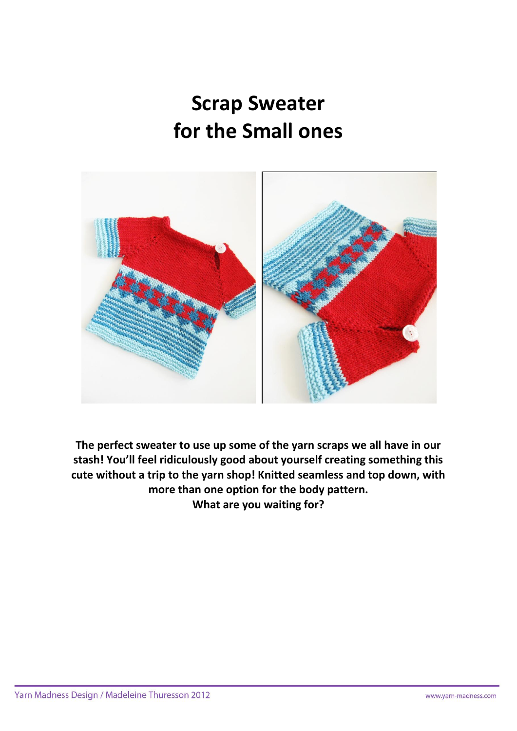# **Scrap Sweater for the Small ones**



**The perfect sweater to use up some of the yarn scraps we all have in our stash! You'll feel ridiculously good about yourself creating something this cute without a trip to the yarn shop! Knitted seamless and top down, with more than one option for the body pattern. What are you waiting for?**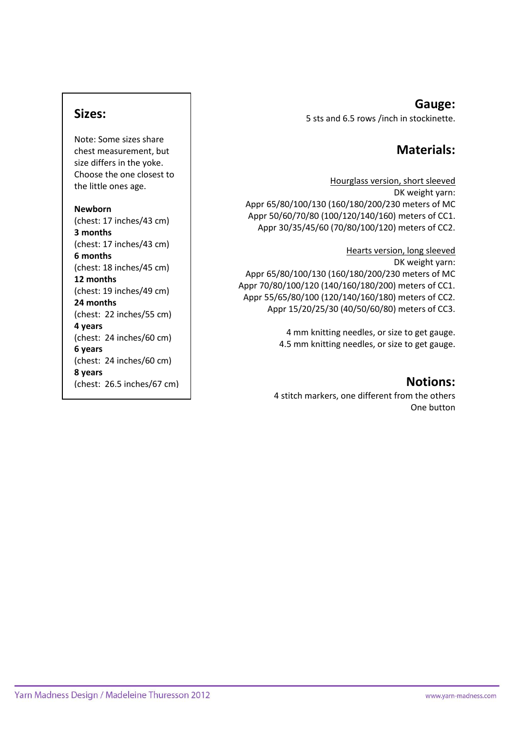## **Sizes:**

Note: Some sizes share chest measurement, but size differs in the yoke. Choose the one closest to the little ones age.

#### **Newborn**

(chest: 17 inches/43 cm) **3 months**  (chest: 17 inches/43 cm) **6 months**  (chest: 18 inches/45 cm) **12 months**  (chest: 19 inches/49 cm) **24 months**  (chest: 22 inches/55 cm) **4 years** (chest: 24 inches/60 cm) **6 years** (chest: 24 inches/60 cm) **8 years** (chest: 26.5 inches/67 cm)

### **Gauge:** 5 sts and 6.5 rows /inch in stockinette.

# **Materials:**

Hourglass version, short sleeved DK weight yarn: Appr 65/80/100/130 (160/180/200/230 meters of MC Appr 50/60/70/80 (100/120/140/160) meters of CC1. Appr 30/35/45/60 (70/80/100/120) meters of CC2.

Hearts version, long sleeved DK weight yarn: Appr 65/80/100/130 (160/180/200/230 meters of MC Appr 70/80/100/120 (140/160/180/200) meters of CC1. Appr 55/65/80/100 (120/140/160/180) meters of CC2. Appr 15/20/25/30 (40/50/60/80) meters of CC3.

> 4 mm knitting needles, or size to get gauge. 4.5 mm knitting needles, or size to get gauge.

## **Notions:**

4 stitch markers, one different from the others One button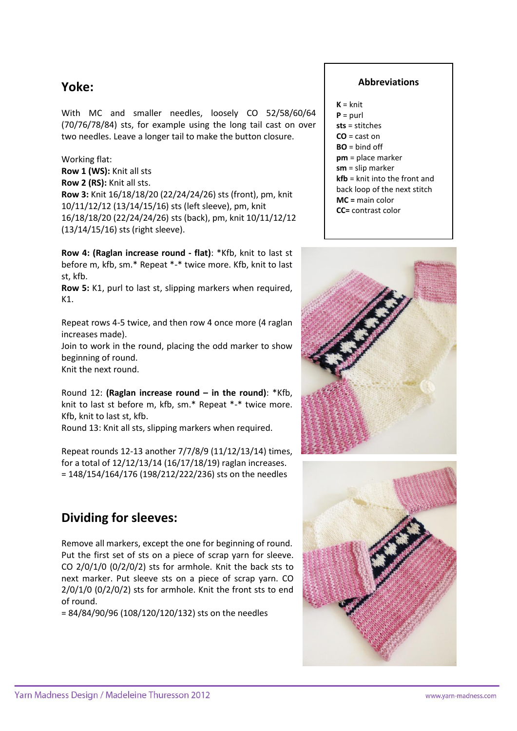# **Yoke:**

With MC and smaller needles, loosely CO 52/58/60/64 (70/76/78/84) sts, for example using the long tail cast on over two needles. Leave a longer tail to make the button closure.

Working flat: **Row 1 (WS):** Knit all sts **Row 2 (RS):** Knit all sts. **Row 3:** Knit 16/18/18/20 (22/24/24/26) sts (front), pm, knit 10/11/12/12 (13/14/15/16) sts (left sleeve), pm, knit 16/18/18/20 (22/24/24/26) sts (back), pm, knit 10/11/12/12 (13/14/15/16) sts (right sleeve).

**Row 4: (Raglan increase round - flat)**: \*Kfb, knit to last st before m, kfb, sm.\* Repeat \*-\* twice more. Kfb, knit to last st, kfb.

**Row 5:** K1, purl to last st, slipping markers when required, K1.

Repeat rows 4-5 twice, and then row 4 once more (4 raglan increases made).

Join to work in the round, placing the odd marker to show beginning of round.

Knit the next round.

Round 12: **(Raglan increase round – in the round)**: \*Kfb, knit to last st before m, kfb, sm.\* Repeat \*-\* twice more. Kfb, knit to last st, kfb.

Round 13: Knit all sts, slipping markers when required.

Repeat rounds 12-13 another 7/7/8/9 (11/12/13/14) times, for a total of 12/12/13/14 (16/17/18/19) raglan increases. = 148/154/164/176 (198/212/222/236) sts on the needles

# **Dividing for sleeves:**

Remove all markers, except the one for beginning of round. Put the first set of sts on a piece of scrap yarn for sleeve. CO 2/0/1/0 (0/2/0/2) sts for armhole. Knit the back sts to next marker. Put sleeve sts on a piece of scrap yarn. CO  $2/0/1/0$  (0/2/0/2) sts for armhole. Knit the front sts to end of round.

= 84/84/90/96 (108/120/120/132) sts on the needles

#### **Abbreviations**

 $K =$ knit **P** = purl **sts** = stitches **CO** = cast on **BO** = bind off **pm** = place marker **sm** = slip marker **kfb** = knit into the front and back loop of the next stitch **MC =** main color **CC=** contrast color